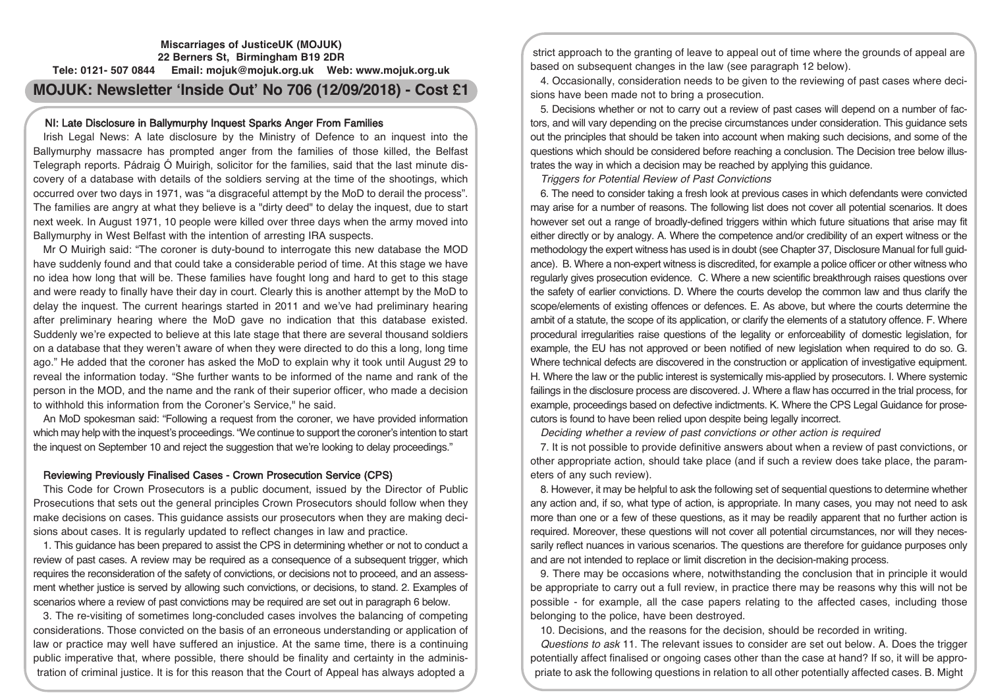## **Miscarriages of JusticeUK (MOJUK) 22 Berners St, Birmingham B19 2DR Tele: 0121- 507 0844 Email: mojuk@mojuk.org.uk Web: www.mojuk.org.uk**

# **MOJUK: Newsletter 'Inside Out' No 706 (12/09/2018) - Cost £1**

## NI: Late Disclosure in Ballymurphy Inquest Sparks Anger From Families

Irish Legal News: A late disclosure by the Ministry of Defence to an inquest into the Ballymurphy massacre has prompted anger from the families of those killed, the Belfast Telegraph reports. Pádraig Ó Muirigh, solicitor for the families, said that the last minute discovery of a database with details of the soldiers serving at the time of the shootings, which occurred over two days in 1971, was "a disgraceful attempt by the MoD to derail the process". The families are angry at what they believe is a "dirty deed" to delay the inquest, due to start next week. In August 1971, 10 people were killed over three days when the army moved into Ballymurphy in West Belfast with the intention of arresting IRA suspects.

Mr O Muirigh said: "The coroner is duty-bound to interrogate this new database the MOD have suddenly found and that could take a considerable period of time. At this stage we have no idea how long that will be. These families have fought long and hard to get to this stage and were ready to finally have their day in court. Clearly this is another attempt by the MoD to delay the inquest. The current hearings started in 2011 and we've had preliminary hearing after preliminary hearing where the MoD gave no indication that this database existed. Suddenly we're expected to believe at this late stage that there are several thousand soldiers on a database that they weren't aware of when they were directed to do this a long, long time ago." He added that the coroner has asked the MoD to explain why it took until August 29 to reveal the information today. "She further wants to be informed of the name and rank of the person in the MOD, and the name and the rank of their superior officer, who made a decision to withhold this information from the Coroner's Service," he said.

An MoD spokesman said: "Following a request from the coroner, we have provided information which may help with the inquest's proceedings. "We continue to support the coroner's intention to start the inquest on September 10 and reject the suggestion that we're looking to delay proceedings."

## Reviewing Previously Finalised Cases - Crown Prosecution Service (CPS)

This Code for Crown Prosecutors is a public document, issued by the Director of Public Prosecutions that sets out the general principles Crown Prosecutors should follow when they make decisions on cases. This guidance assists our prosecutors when they are making decisions about cases. It is regularly updated to reflect changes in law and practice.

1. This guidance has been prepared to assist the CPS in determining whether or not to conduct a review of past cases. A review may be required as a consequence of a subsequent trigger, which requires the reconsideration of the safety of convictions, or decisions not to proceed, and an assessment whether justice is served by allowing such convictions, or decisions, to stand. 2. Examples of scenarios where a review of past convictions may be required are set out in paragraph 6 below.

3. The re-visiting of sometimes long-concluded cases involves the balancing of competing considerations. Those convicted on the basis of an erroneous understanding or application of law or practice may well have suffered an injustice. At the same time, there is a continuing public imperative that, where possible, there should be finality and certainty in the administration of criminal justice. It is for this reason that the Court of Appeal has always adopted a

strict approach to the granting of leave to appeal out of time where the grounds of appeal are based on subsequent changes in the law (see paragraph 12 below).

4. Occasionally, consideration needs to be given to the reviewing of past cases where decisions have been made not to bring a prosecution.

5. Decisions whether or not to carry out a review of past cases will depend on a number of factors, and will vary depending on the precise circumstances under consideration. This guidance sets out the principles that should be taken into account when making such decisions, and some of the questions which should be considered before reaching a conclusion. The Decision tree below illustrates the way in which a decision may be reached by applying this guidance.

Triggers for Potential Review of Past Convictions

6. The need to consider taking a fresh look at previous cases in which defendants were convicted may arise for a number of reasons. The following list does not cover all potential scenarios. It does however set out a range of broadly-defined triggers within which future situations that arise may fit either directly or by analogy. A. Where the competence and/or credibility of an expert witness or the methodology the expert witness has used is in doubt (see Chapter 37, Disclosure Manual for full guidance). B. Where a non-expert witness is discredited, for example a police officer or other witness who regularly gives prosecution evidence. C. Where a new scientific breakthrough raises questions over the safety of earlier convictions. D. Where the courts develop the common law and thus clarify the scope/elements of existing offences or defences. E. As above, but where the courts determine the ambit of a statute, the scope of its application, or clarify the elements of a statutory offence. F. Where procedural irregularities raise questions of the legality or enforceability of domestic legislation, for example, the EU has not approved or been notified of new legislation when required to do so. G. Where technical defects are discovered in the construction or application of investigative equipment. H. Where the law or the public interest is systemically mis-applied by prosecutors. I. Where systemic failings in the disclosure process are discovered. J. Where a flaw has occurred in the trial process, for example, proceedings based on defective indictments. K. Where the CPS Legal Guidance for prosecutors is found to have been relied upon despite being legally incorrect.

Deciding whether <sup>a</sup> review of past convictions or other action is required

7. It is not possible to provide definitive answers about when a review of past convictions, or other appropriate action, should take place (and if such a review does take place, the parameters of any such review).

8. However, it may be helpful to ask the following set of sequential questions to determine whether any action and, if so, what type of action, is appropriate. In many cases, you may not need to ask more than one or a few of these questions, as it may be readily apparent that no further action is required. Moreover, these questions will not cover all potential circumstances, nor will they necessarily reflect nuances in various scenarios. The questions are therefore for guidance purposes only and are not intended to replace or limit discretion in the decision-making process.

9. There may be occasions where, notwithstanding the conclusion that in principle it would be appropriate to carry out a full review, in practice there may be reasons why this will not be possible - for example, all the case papers relating to the affected cases, including those belonging to the police, have been destroyed.

10. Decisions, and the reasons for the decision, should be recorded in writing.

Questions to ask 11. The relevant issues to consider are set out below. A. Does the trigger potentially affect finalised or ongoing cases other than the case at hand? If so, it will be appropriate to ask the following questions in relation to all other potentially affected cases. B. Might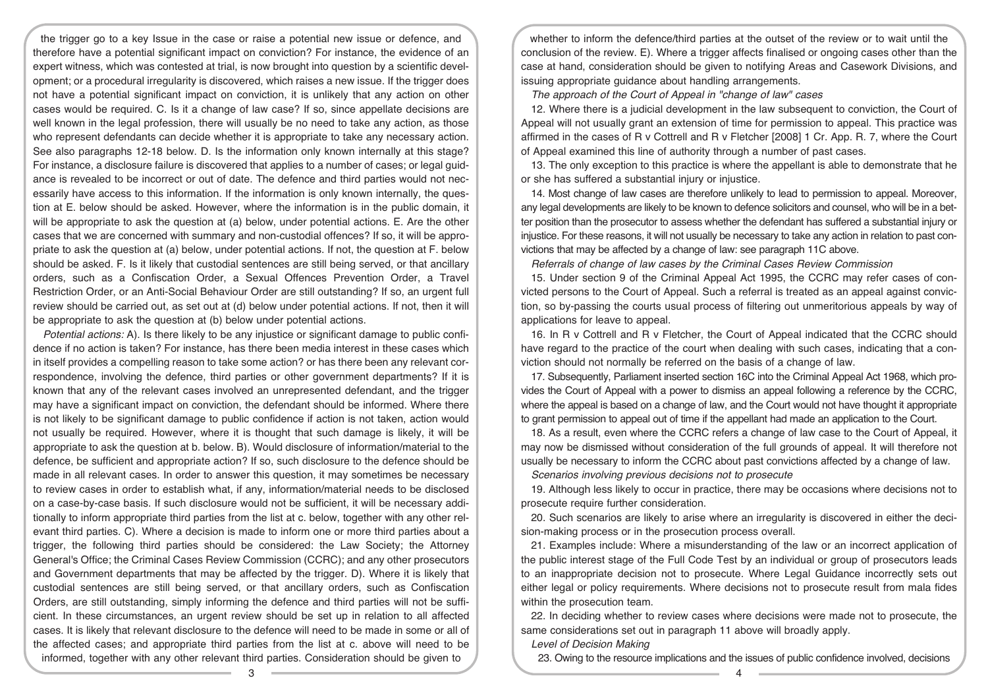the trigger go to a key Issue in the case or raise a potential new issue or defence, and therefore have a potential significant impact on conviction? For instance, the evidence of an expert witness, which was contested at trial, is now brought into question by a scientific development; or a procedural irregularity is discovered, which raises a new issue. If the trigger does not have a potential significant impact on conviction, it is unlikely that any action on other cases would be required. C. Is it a change of law case? If so, since appellate decisions are well known in the legal profession, there will usually be no need to take any action, as those who represent defendants can decide whether it is appropriate to take any necessary action. See also paragraphs 12-18 below. D. Is the information only known internally at this stage? For instance, a disclosure failure is discovered that applies to a number of cases; or legal guidance is revealed to be incorrect or out of date. The defence and third parties would not necessarily have access to this information. If the information is only known internally, the question at E. below should be asked. However, where the information is in the public domain, it will be appropriate to ask the question at (a) below, under potential actions. E. Are the other cases that we are concerned with summary and non-custodial offences? If so, it will be appropriate to ask the question at (a) below, under potential actions. If not, the question at F. below should be asked. F. Is it likely that custodial sentences are still being served, or that ancillary orders, such as a Confiscation Order, a Sexual Offences Prevention Order, a Travel Restriction Order, or an Anti-Social Behaviour Order are still outstanding? If so, an urgent full review should be carried out, as set out at (d) below under potential actions. If not, then it will be appropriate to ask the question at (b) below under potential actions.

Potential actions: A). Is there likely to be any injustice or significant damage to public confidence if no action is taken? For instance, has there been media interest in these cases which in itself provides a compelling reason to take some action? or has there been any relevant correspondence, involving the defence, third parties or other government departments? If it is known that any of the relevant cases involved an unrepresented defendant, and the trigger may have a significant impact on conviction, the defendant should be informed. Where there is not likely to be significant damage to public confidence if action is not taken, action would not usually be required. However, where it is thought that such damage is likely, it will be appropriate to ask the question at b. below. B). Would disclosure of information/material to the defence, be sufficient and appropriate action? If so, such disclosure to the defence should be made in all relevant cases. In order to answer this question, it may sometimes be necessary to review cases in order to establish what, if any, information/material needs to be disclosed on a case-by-case basis. If such disclosure would not be sufficient, it will be necessary additionally to inform appropriate third parties from the list at c. below, together with any other relevant third parties. C). Where a decision is made to inform one or more third parties about a trigger, the following third parties should be considered: the Law Society; the Attorney General's Office; the Criminal Cases Review Commission (CCRC); and any other prosecutors and Government departments that may be affected by the trigger. D). Where it is likely that custodial sentences are still being served, or that ancillary orders, such as Confiscation Orders, are still outstanding, simply informing the defence and third parties will not be sufficient. In these circumstances, an urgent review should be set up in relation to all affected cases. It is likely that relevant disclosure to the defence will need to be made in some or all of the affected cases; and appropriate third parties from the list at c. above will need to be informed, together with any other relevant third parties. Consideration should be given to

whether to inform the defence/third parties at the outset of the review or to wait until the conclusion of the review. E). Where a trigger affects finalised or ongoing cases other than the case at hand, consideration should be given to notifying Areas and Casework Divisions, and issuing appropriate guidance about handling arrangements.

The approach of the Court of Appeal in "change of law" cases

12. Where there is a judicial development in the law subsequent to conviction, the Court of Appeal will not usually grant an extension of time for permission to appeal. This practice was affirmed in the cases of R v Cottrell and R v Fletcher [2008] 1 Cr. App. R. 7, where the Court of Appeal examined this line of authority through a number of past cases.

13. The only exception to this practice is where the appellant is able to demonstrate that he or she has suffered a substantial injury or injustice.

14. Most change of law cases are therefore unlikely to lead to permission to appeal. Moreover, any legal developments are likely to be known to defence solicitors and counsel, who will be in a better position than the prosecutor to assess whether the defendant has suffered a substantial injury or injustice. For these reasons, it will not usually be necessary to take any action in relation to past convictions that may be affected by a change of law: see paragraph 11C above.

Referrals of change of law cases by the Criminal Cases Review Commission

15. Under section 9 of the Criminal Appeal Act 1995, the CCRC may refer cases of convicted persons to the Court of Appeal. Such a referral is treated as an appeal against conviction, so by-passing the courts usual process of filtering out unmeritorious appeals by way of applications for leave to appeal.

16. In R v Cottrell and R v Fletcher, the Court of Appeal indicated that the CCRC should have regard to the practice of the court when dealing with such cases, indicating that a conviction should not normally be referred on the basis of a change of law.

17. Subsequently, Parliament inserted section 16C into the Criminal Appeal Act 1968, which provides the Court of Appeal with a power to dismiss an appeal following a reference by the CCRC, where the appeal is based on a change of law, and the Court would not have thought it appropriate to grant permission to appeal out of time if the appellant had made an application to the Court.

18. As a result, even where the CCRC refers a change of law case to the Court of Appeal, it may now be dismissed without consideration of the full grounds of appeal. It will therefore not usually be necessary to inform the CCRC about past convictions affected by a change of law.

Scenarios involving previous decisions not to prosecute

19. Although less likely to occur in practice, there may be occasions where decisions not to prosecute require further consideration.

20. Such scenarios are likely to arise where an irregularity is discovered in either the decision-making process or in the prosecution process overall.

21. Examples include: Where a misunderstanding of the law or an incorrect application of the public interest stage of the Full Code Test by an individual or group of prosecutors leads to an inappropriate decision not to prosecute. Where Legal Guidance incorrectly sets out either legal or policy requirements. Where decisions not to prosecute result from mala fides within the prosecution team.

22. In deciding whether to review cases where decisions were made not to prosecute, the same considerations set out in paragraph 11 above will broadly apply.

Level of Decision Making

23. Owing to the resource implications and the issues of public confidence involved, decisions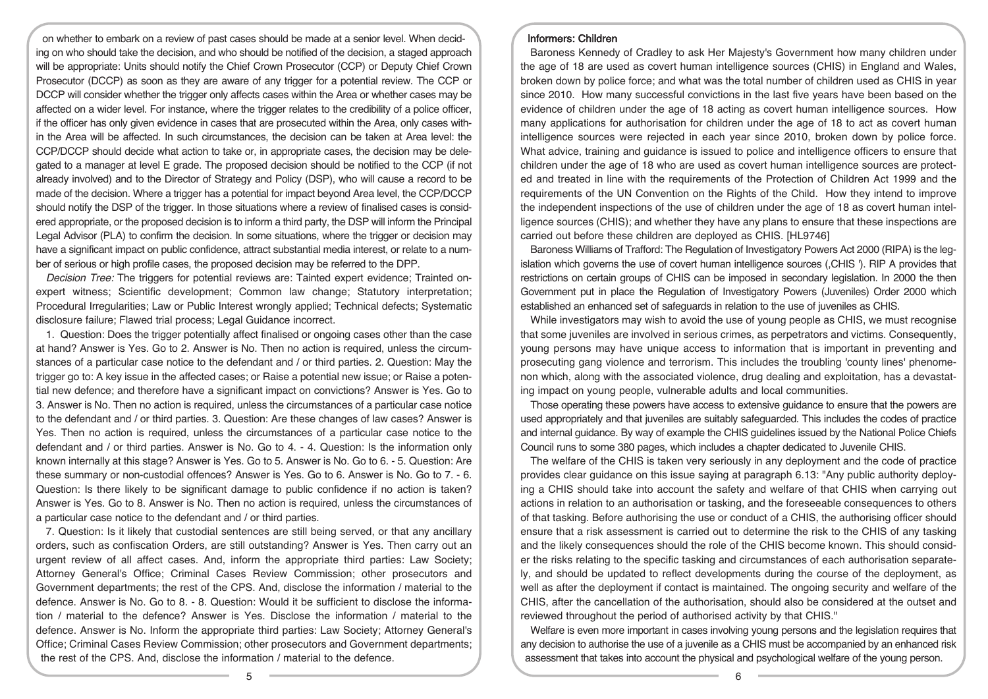on whether to embark on a review of past cases should be made at a senior level. When deciding on who should take the decision, and who should be notified of the decision, a staged approach will be appropriate: Units should notify the Chief Crown Prosecutor (CCP) or Deputy Chief Crown Prosecutor (DCCP) as soon as they are aware of any trigger for a potential review. The CCP or DCCP will consider whether the trigger only affects cases within the Area or whether cases may be affected on a wider level. For instance, where the trigger relates to the credibility of a police officer, if the officer has only given evidence in cases that are prosecuted within the Area, only cases within the Area will be affected. In such circumstances, the decision can be taken at Area level: the CCP/DCCP should decide what action to take or, in appropriate cases, the decision may be delegated to a manager at level E grade. The proposed decision should be notified to the CCP (if not already involved) and to the Director of Strategy and Policy (DSP), who will cause a record to be made of the decision. Where a trigger has a potential for impact beyond Area level, the CCP/DCCP should notify the DSP of the trigger. In those situations where a review of finalised cases is considered appropriate, or the proposed decision is to inform a third party, the DSP will inform the Principal Legal Advisor (PLA) to confirm the decision. In some situations, where the trigger or decision may have a significant impact on public confidence, attract substantial media interest, or relate to a number of serious or high profile cases, the proposed decision may be referred to the DPP.

Decision Tree: The triggers for potential reviews are: Tainted expert evidence; Trainted onexpert witness; Scientific development; Common law change; Statutory interpretation; Procedural Irregularities; Law or Public Interest wrongly applied; Technical defects; Systematic disclosure failure; Flawed trial process; Legal Guidance incorrect.

1. Question: Does the trigger potentially affect finalised or ongoing cases other than the case at hand? Answer is Yes. Go to 2. Answer is No. Then no action is required, unless the circumstances of a particular case notice to the defendant and / or third parties. 2. Question: May the trigger go to: A key issue in the affected cases; or Raise a potential new issue; or Raise a potential new defence; and therefore have a significant impact on convictions? Answer is Yes. Go to 3. Answer is No. Then no action is required, unless the circumstances of a particular case notice to the defendant and / or third parties. 3. Question: Are these changes of law cases? Answer is Yes. Then no action is required, unless the circumstances of a particular case notice to the defendant and / or third parties. Answer is No. Go to 4. - 4. Question: Is the information only known internally at this stage? Answer is Yes. Go to 5. Answer is No. Go to 6. - 5. Question: Are these summary or non-custodial offences? Answer is Yes. Go to 6. Answer is No. Go to 7. - 6. Question: Is there likely to be significant damage to public confidence if no action is taken? Answer is Yes. Go to 8. Answer is No. Then no action is required, unless the circumstances of a particular case notice to the defendant and / or third parties.

7. Question: Is it likely that custodial sentences are still being served, or that any ancillary orders, such as confiscation Orders, are still outstanding? Answer is Yes. Then carry out an urgent review of all affect cases. And, inform the appropriate third parties: Law Society; Attorney General's Office; Criminal Cases Review Commission; other prosecutors and Government departments; the rest of the CPS. And, disclose the information / material to the defence. Answer is No. Go to 8. - 8. Question: Would it be sufficient to disclose the information / material to the defence? Answer is Yes. Disclose the information / material to the defence. Answer is No. Inform the appropriate third parties: Law Society; Attorney General's Office; Criminal Cases Review Commission; other prosecutors and Government departments; the rest of the CPS. And, disclose the information / material to the defence.

#### Informers: Children

Baroness Kennedy of Cradley to ask Her Majesty's Government how many children under the age of 18 are used as covert human intelligence sources (CHIS) in England and Wales, broken down by police force; and what was the total number of children used as CHIS in year since 2010. How many successful convictions in the last five years have been based on the evidence of children under the age of 18 acting as covert human intelligence sources. How many applications for authorisation for children under the age of 18 to act as covert human intelligence sources were rejected in each year since 2010, broken down by police force. What advice, training and guidance is issued to police and intelligence officers to ensure that children under the age of 18 who are used as covert human intelligence sources are protected and treated in line with the requirements of the Protection of Children Act 1999 and the requirements of the UN Convention on the Rights of the Child. How they intend to improve the independent inspections of the use of children under the age of 18 as covert human intelligence sources (CHIS); and whether they have any plans to ensure that these inspections are carried out before these children are deployed as CHIS. [HL9746]

Baroness Williams of Trafford: The Regulation of Investigatory Powers Act 2000 (RIPA) is the legislation which governs the use of covert human intelligence sources (,CHIS '). RIP A provides that restrictions on certain groups of CHIS can be imposed in secondary legislation. In 2000 the then Government put in place the Regulation of Investigatory Powers (Juveniles) Order 2000 which established an enhanced set of safeguards in relation to the use of juveniles as CHIS.

While investigators may wish to avoid the use of young people as CHIS, we must recognise that some juveniles are involved in serious crimes, as perpetrators and victims. Consequently, young persons may have unique access to information that is important in preventing and prosecuting gang violence and terrorism. This includes the troubling 'county lines' phenomenon which, along with the associated violence, drug dealing and exploitation, has a devastating impact on young people, vulnerable adults and local communities.

Those operating these powers have access to extensive guidance to ensure that the powers are used appropriately and that juveniles are suitably safeguarded. This includes the codes of practice and internal guidance. By way of example the CHIS guidelines issued by the National Police Chiefs Council runs to some 380 pages, which includes a chapter dedicated to Juvenile CHIS.

The welfare of the CHIS is taken very seriously in any deployment and the code of practice provides clear guidance on this issue saying at paragraph 6.13: "Any public authority deploying a CHIS should take into account the safety and welfare of that CHIS when carrying out actions in relation to an authorisation or tasking, and the foreseeable consequences to others of that tasking. Before authorising the use or conduct of a CHIS, the authorising officer should ensure that a risk assessment is carried out to determine the risk to the CHIS of any tasking and the likely consequences should the role of the CHIS become known. This should consider the risks relating to the specific tasking and circumstances of each authorisation separately, and should be updated to reflect developments during the course of the deployment, as well as after the deployment if contact is maintained. The ongoing security and welfare of the CHIS, after the cancellation of the authorisation, should also be considered at the outset and reviewed throughout the period of authorised activity by that CHIS."

Welfare is even more important in cases involving young persons and the legislation requires that any decision to authorise the use of a juvenile as a CHIS must be accompanied by an enhanced risk assessment that takes into account the physical and psychological welfare of the young person.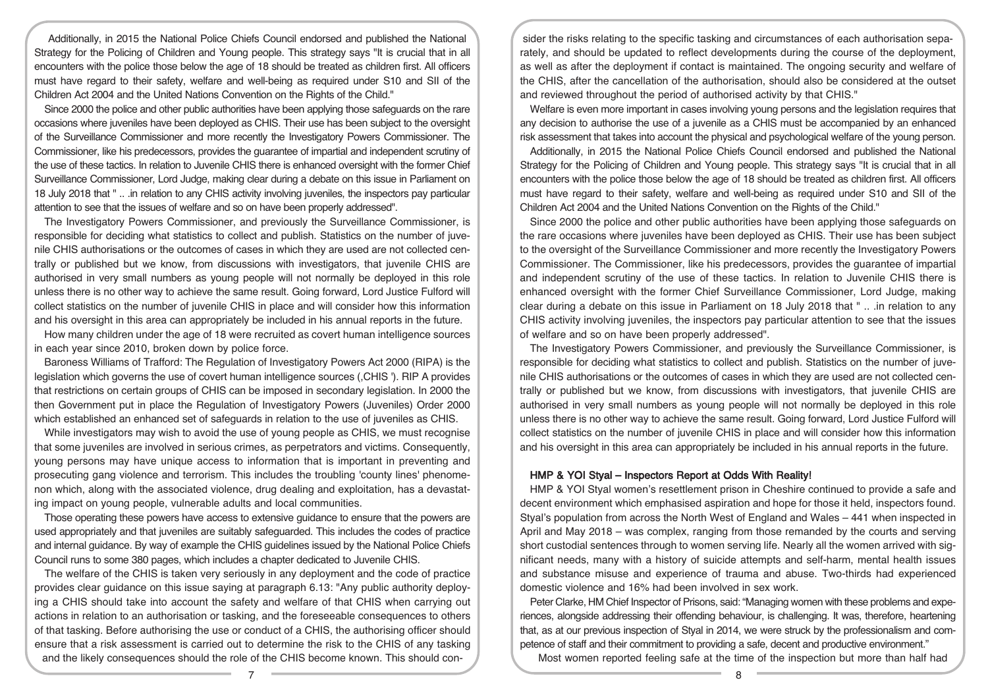Additionally, in 2015 the National Police Chiefs Council endorsed and published the National Strategy for the Policing of Children and Young people. This strategy says "It is crucial that in all encounters with the police those below the age of 18 should be treated as children first. All officers must have regard to their safety, welfare and well-being as required under S10 and SII of the Children Act 2004 and the United Nations Convention on the Rights of the Child."

Since 2000 the police and other public authorities have been applying those safeguards on the rare occasions where juveniles have been deployed as CHIS. Their use has been subject to the oversight of the Surveillance Commissioner and more recently the Investigatory Powers Commissioner. The Commissioner, like his predecessors, provides the guarantee of impartial and independent scrutiny of the use of these tactics. In relation to Juvenile CHIS there is enhanced oversight with the former Chief Surveillance Commissioner, Lord Judge, making clear during a debate on this issue in Parliament on 18 July 2018 that " .. .in relation to any CHIS activity involving juveniles, the inspectors pay particular attention to see that the issues of welfare and so on have been properly addressed".

The Investigatory Powers Commissioner, and previously the Surveillance Commissioner, is responsible for deciding what statistics to collect and publish. Statistics on the number of juvenile CHIS authorisations or the outcomes of cases in which they are used are not collected centrally or published but we know, from discussions with investigators, that juvenile CHIS are authorised in very small numbers as young people will not normally be deployed in this role unless there is no other way to achieve the same result. Going forward, Lord Justice Fulford will collect statistics on the number of juvenile CHIS in place and will consider how this information and his oversight in this area can appropriately be included in his annual reports in the future.

How many children under the age of 18 were recruited as covert human intelligence sources in each year since 2010, broken down by police force.

Baroness Williams of Trafford: The Regulation of Investigatory Powers Act 2000 (RIPA) is the legislation which governs the use of covert human intelligence sources (,CHIS '). RIP A provides that restrictions on certain groups of CHIS can be imposed in secondary legislation. In 2000 the then Government put in place the Regulation of Investigatory Powers (Juveniles) Order 2000 which established an enhanced set of safeguards in relation to the use of juveniles as CHIS.

While investigators may wish to avoid the use of young people as CHIS, we must recognise that some juveniles are involved in serious crimes, as perpetrators and victims. Consequently, young persons may have unique access to information that is important in preventing and prosecuting gang violence and terrorism. This includes the troubling 'county lines' phenomenon which, along with the associated violence, drug dealing and exploitation, has a devastating impact on young people, vulnerable adults and local communities.

Those operating these powers have access to extensive guidance to ensure that the powers are used appropriately and that juveniles are suitably safeguarded. This includes the codes of practice and internal guidance. By way of example the CHIS guidelines issued by the National Police Chiefs Council runs to some 380 pages, which includes a chapter dedicated to Juvenile CHIS.

The welfare of the CHIS is taken very seriously in any deployment and the code of practice provides clear guidance on this issue saying at paragraph 6.13: "Any public authority deploying a CHIS should take into account the safety and welfare of that CHIS when carrying out actions in relation to an authorisation or tasking, and the foreseeable consequences to others of that tasking. Before authorising the use or conduct of a CHIS, the authorising officer should ensure that a risk assessment is carried out to determine the risk to the CHIS of any tasking and the likely consequences should the role of the CHIS become known. This should con-

sider the risks relating to the specific tasking and circumstances of each authorisation separately, and should be updated to reflect developments during the course of the deployment, as well as after the deployment if contact is maintained. The ongoing security and welfare of the CHIS, after the cancellation of the authorisation, should also be considered at the outset and reviewed throughout the period of authorised activity by that CHIS."

Welfare is even more important in cases involving young persons and the legislation requires that any decision to authorise the use of a juvenile as a CHIS must be accompanied by an enhanced risk assessment that takes into account the physical and psychological welfare of the young person.

Additionally, in 2015 the National Police Chiefs Council endorsed and published the National Strategy for the Policing of Children and Young people. This strategy says "It is crucial that in all encounters with the police those below the age of 18 should be treated as children first. All officers must have regard to their safety, welfare and well-being as required under S10 and SII of the Children Act 2004 and the United Nations Convention on the Rights of the Child."

Since 2000 the police and other public authorities have been applying those safeguards on the rare occasions where juveniles have been deployed as CHIS. Their use has been subject to the oversight of the Surveillance Commissioner and more recently the Investigatory Powers Commissioner. The Commissioner, like his predecessors, provides the guarantee of impartial and independent scrutiny of the use of these tactics. In relation to Juvenile CHIS there is enhanced oversight with the former Chief Surveillance Commissioner, Lord Judge, making clear during a debate on this issue in Parliament on 18 July 2018 that " .. .in relation to any CHIS activity involving juveniles, the inspectors pay particular attention to see that the issues of welfare and so on have been properly addressed".

The Investigatory Powers Commissioner, and previously the Surveillance Commissioner, is responsible for deciding what statistics to collect and publish. Statistics on the number of juvenile CHIS authorisations or the outcomes of cases in which they are used are not collected centrally or published but we know, from discussions with investigators, that juvenile CHIS are authorised in very small numbers as young people will not normally be deployed in this role unless there is no other way to achieve the same result. Going forward, Lord Justice Fulford will collect statistics on the number of juvenile CHIS in place and will consider how this information and his oversight in this area can appropriately be included in his annual reports in the future.

#### HMP & YOI Styal – Inspectors Report at Odds With Reality!

HMP & YOI Styal women's resettlement prison in Cheshire continued to provide a safe and decent environment which emphasised aspiration and hope for those it held, inspectors found. Styal's population from across the North West of England and Wales – 441 when inspected in April and May 2018 – was complex, ranging from those remanded by the courts and serving short custodial sentences through to women serving life. Nearly all the women arrived with significant needs, many with a history of suicide attempts and self-harm, mental health issues and substance misuse and experience of trauma and abuse. Two-thirds had experienced domestic violence and 16% had been involved in sex work.

Peter Clarke, HM Chief Inspector of Prisons, said: "Managing women with these problems and experiences, alongside addressing their offending behaviour, is challenging. It was, therefore, heartening that, as at our previous inspection of Styal in 2014, we were struck by the professionalism and competence of staff and their commitment to providing a safe, decent and productive environment."

Most women reported feeling safe at the time of the inspection but more than half had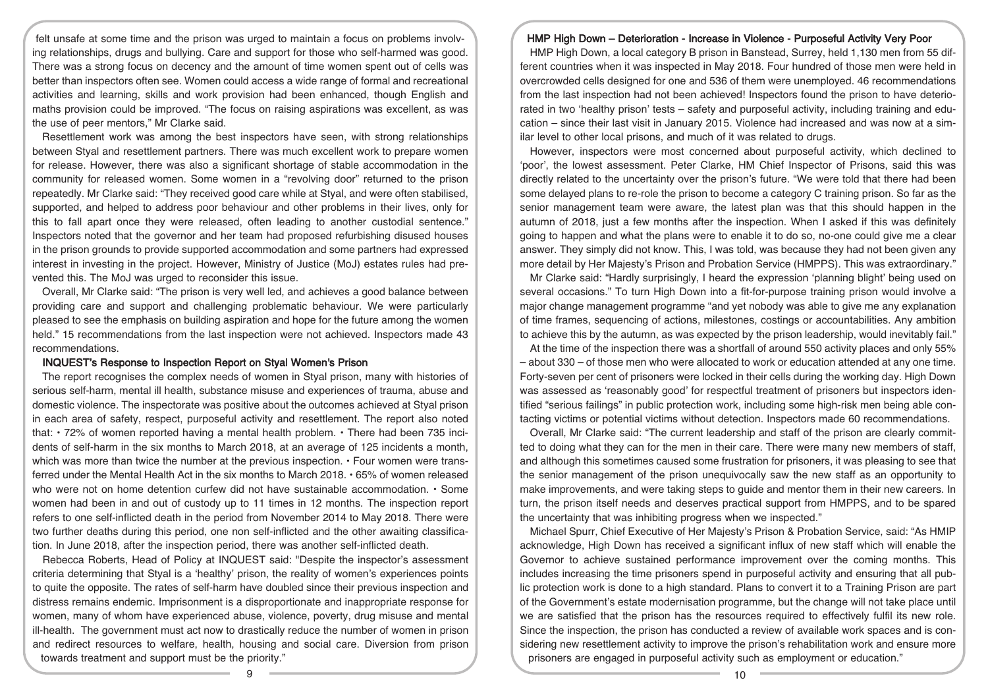felt unsafe at some time and the prison was urged to maintain a focus on problems involving relationships, drugs and bullying. Care and support for those who self-harmed was good. There was a strong focus on decency and the amount of time women spent out of cells was better than inspectors often see. Women could access a wide range of formal and recreational activities and learning, skills and work provision had been enhanced, though English and maths provision could be improved. "The focus on raising aspirations was excellent, as was the use of peer mentors," Mr Clarke said.

Resettlement work was among the best inspectors have seen, with strong relationships between Styal and resettlement partners. There was much excellent work to prepare women for release. However, there was also a significant shortage of stable accommodation in the community for released women. Some women in a "revolving door" returned to the prison repeatedly. Mr Clarke said: "They received good care while at Styal, and were often stabilised, supported, and helped to address poor behaviour and other problems in their lives, only for this to fall apart once they were released, often leading to another custodial sentence." Inspectors noted that the governor and her team had proposed refurbishing disused houses in the prison grounds to provide supported accommodation and some partners had expressed interest in investing in the project. However, Ministry of Justice (MoJ) estates rules had prevented this. The MoJ was urged to reconsider this issue.

Overall, Mr Clarke said: "The prison is very well led, and achieves a good balance between providing care and support and challenging problematic behaviour. We were particularly pleased to see the emphasis on building aspiration and hope for the future among the women held." 15 recommendations from the last inspection were not achieved. Inspectors made 43 recommendations.

### INQUEST's Response to Inspection Report on Styal Women's Prison

The report recognises the complex needs of women in Styal prison, many with histories of serious self-harm, mental ill health, substance misuse and experiences of trauma, abuse and domestic violence. The inspectorate was positive about the outcomes achieved at Styal prison in each area of safety, respect, purposeful activity and resettlement. The report also noted that: • 72% of women reported having a mental health problem. • There had been 735 incidents of self-harm in the six months to March 2018, at an average of 125 incidents a month, which was more than twice the number at the previous inspection. • Four women were transferred under the Mental Health Act in the six months to March 2018. • 65% of women released who were not on home detention curfew did not have sustainable accommodation. • Some women had been in and out of custody up to 11 times in 12 months. The inspection report refers to one self-inflicted death in the period from November 2014 to May 2018. There were two further deaths during this period, one non self-inflicted and the other awaiting classification. In June 2018, after the inspection period, there was another self-inflicted death.

Rebecca Roberts, Head of Policy at INQUEST said: "Despite the inspector's assessment criteria determining that Styal is a 'healthy' prison, the reality of women's experiences points to quite the opposite. The rates of self-harm have doubled since their previous inspection and distress remains endemic. Imprisonment is a disproportionate and inappropriate response for women, many of whom have experienced abuse, violence, poverty, drug misuse and mental ill-health. The government must act now to drastically reduce the number of women in prison and redirect resources to welfare, health, housing and social care. Diversion from prison towards treatment and support must be the priority."

#### HMP High Down – Deterioration - Increase in Violence - Purposeful Activity Very Poor

HMP High Down, a local category B prison in Banstead, Surrey, held 1,130 men from 55 different countries when it was inspected in May 2018. Four hundred of those men were held in overcrowded cells designed for one and 536 of them were unemployed. 46 recommendations from the last inspection had not been achieved! Inspectors found the prison to have deteriorated in two 'healthy prison' tests – safety and purposeful activity, including training and education – since their last visit in January 2015. Violence had increased and was now at a similar level to other local prisons, and much of it was related to drugs.

However, inspectors were most concerned about purposeful activity, which declined to 'poor', the lowest assessment. Peter Clarke, HM Chief Inspector of Prisons, said this was directly related to the uncertainty over the prison's future. "We were told that there had been some delayed plans to re-role the prison to become a category C training prison. So far as the senior management team were aware, the latest plan was that this should happen in the autumn of 2018, just a few months after the inspection. When I asked if this was definitely going to happen and what the plans were to enable it to do so, no-one could give me a clear answer. They simply did not know. This, I was told, was because they had not been given any more detail by Her Majesty's Prison and Probation Service (HMPPS). This was extraordinary."

Mr Clarke said: "Hardly surprisingly, I heard the expression 'planning blight' being used on several occasions." To turn High Down into a fit-for-purpose training prison would involve a major change management programme "and yet nobody was able to give me any explanation of time frames, sequencing of actions, milestones, costings or accountabilities. Any ambition to achieve this by the autumn, as was expected by the prison leadership, would inevitably fail."

At the time of the inspection there was a shortfall of around 550 activity places and only 55% – about 330 – of those men who were allocated to work or education attended at any one time. Forty-seven per cent of prisoners were locked in their cells during the working day. High Down was assessed as 'reasonably good' for respectful treatment of prisoners but inspectors identified "serious failings" in public protection work, including some high-risk men being able contacting victims or potential victims without detection. Inspectors made 60 recommendations.

Overall, Mr Clarke said: "The current leadership and staff of the prison are clearly committed to doing what they can for the men in their care. There were many new members of staff, and although this sometimes caused some frustration for prisoners, it was pleasing to see that the senior management of the prison unequivocally saw the new staff as an opportunity to make improvements, and were taking steps to guide and mentor them in their new careers. In turn, the prison itself needs and deserves practical support from HMPPS, and to be spared the uncertainty that was inhibiting progress when we inspected."

Michael Spurr, Chief Executive of Her Majesty's Prison & Probation Service, said: "As HMIP acknowledge, High Down has received a significant influx of new staff which will enable the Governor to achieve sustained performance improvement over the coming months. This includes increasing the time prisoners spend in purposeful activity and ensuring that all public protection work is done to a high standard. Plans to convert it to a Training Prison are part of the Government's estate modernisation programme, but the change will not take place until we are satisfied that the prison has the resources required to effectively fulfil its new role. Since the inspection, the prison has conducted a review of available work spaces and is considering new resettlement activity to improve the prison's rehabilitation work and ensure more prisoners are engaged in purposeful activity such as employment or education."